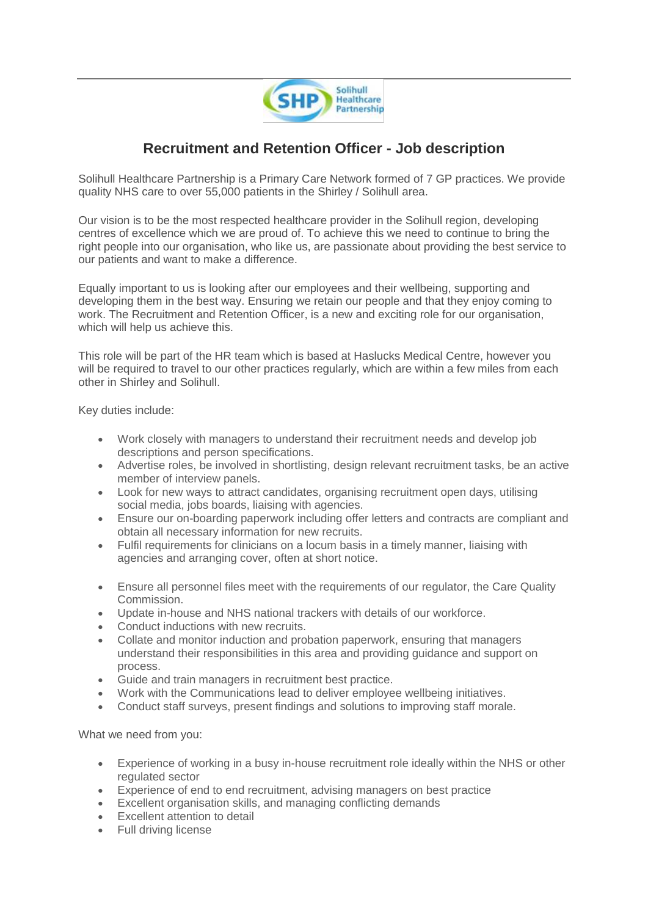

## **Recruitment and Retention Officer - Job description**

Solihull Healthcare Partnership is a Primary Care Network formed of 7 GP practices. We provide quality NHS care to over 55,000 patients in the Shirley / Solihull area.

Our vision is to be the most respected healthcare provider in the Solihull region, developing centres of excellence which we are proud of. To achieve this we need to continue to bring the right people into our organisation, who like us, are passionate about providing the best service to our patients and want to make a difference.

Equally important to us is looking after our employees and their wellbeing, supporting and developing them in the best way. Ensuring we retain our people and that they enjoy coming to work. The Recruitment and Retention Officer, is a new and exciting role for our organisation, which will help us achieve this.

This role will be part of the HR team which is based at Haslucks Medical Centre, however you will be required to travel to our other practices regularly, which are within a few miles from each other in Shirley and Solihull.

Key duties include:

- Work closely with managers to understand their recruitment needs and develop job descriptions and person specifications.
- Advertise roles, be involved in shortlisting, design relevant recruitment tasks, be an active member of interview panels.
- Look for new ways to attract candidates, organising recruitment open days, utilising social media, jobs boards, liaising with agencies.
- Ensure our on-boarding paperwork including offer letters and contracts are compliant and obtain all necessary information for new recruits.
- Fulfil requirements for clinicians on a locum basis in a timely manner, liaising with agencies and arranging cover, often at short notice.
- Ensure all personnel files meet with the requirements of our regulator, the Care Quality Commission.
- Update in-house and NHS national trackers with details of our workforce.
- Conduct inductions with new recruits.
- Collate and monitor induction and probation paperwork, ensuring that managers understand their responsibilities in this area and providing guidance and support on process.
- Guide and train managers in recruitment best practice.
- Work with the Communications lead to deliver employee wellbeing initiatives.
- Conduct staff surveys, present findings and solutions to improving staff morale.

What we need from you:

- Experience of working in a busy in-house recruitment role ideally within the NHS or other regulated sector
- Experience of end to end recruitment, advising managers on best practice
- Excellent organisation skills, and managing conflicting demands
- Excellent attention to detail
- Full driving license